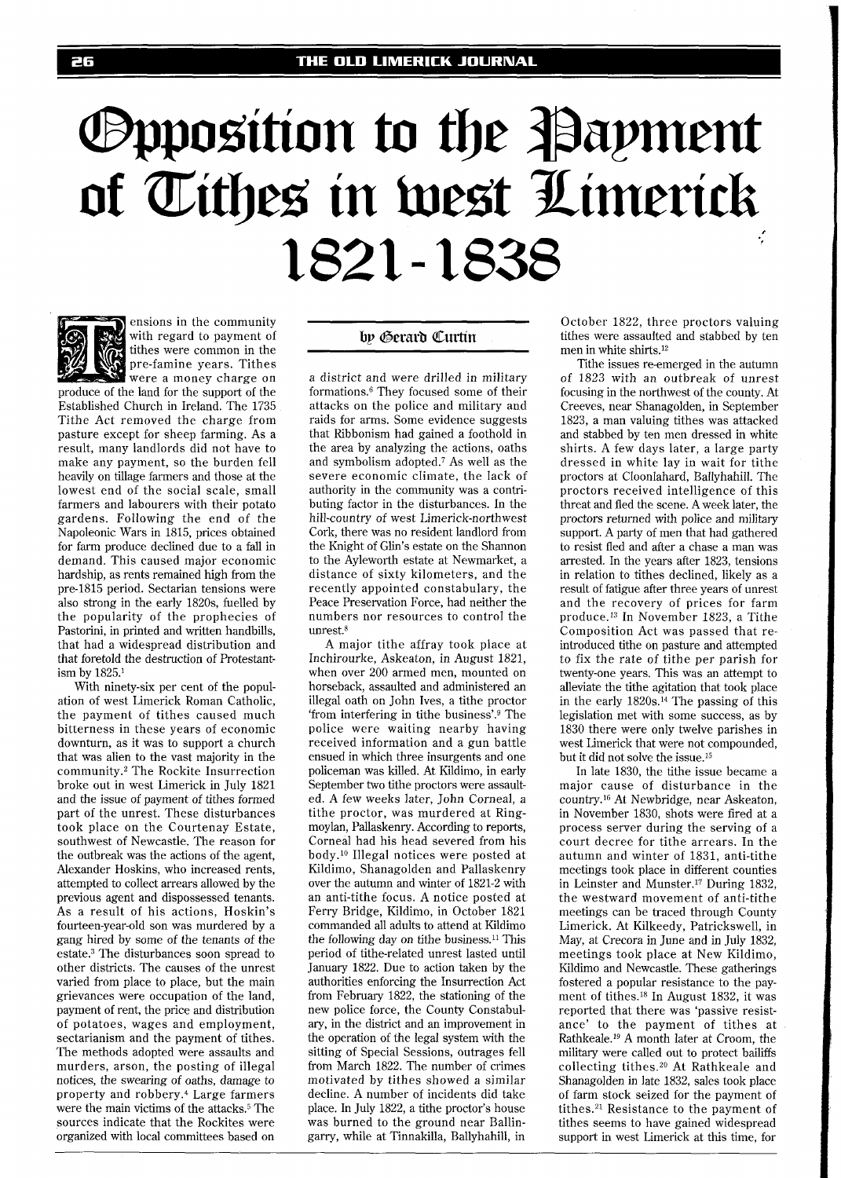## **Opposition to the Payment** of Tithes in west Limerick 1821-1838



ensions in the community with regard to payment of tithes were common in the pre-famine years. Tithes were a money charge on

produce of the land for the support of the Established Church in Ireland. The 1735 Tithe Act removed the charge from pasture except for sheep farming. As a result, many landlords did not have to make any payment, so the burden fell heavily on tillage farmers and those at the lowest end of the social scale, small farmers and labourers with their potato gardens. Following the end of the Napoleonic Wars in 1815, prices obtained for farm produce declined due to a fall in demand. This caused major economic hardship, as rents remained high from the pre-1815 period. Sectarian tensions were also strong in the early 1820s, fuelled by the popularity of the prophecies of Pastorini, in printed and written handbills, that had a widespread distribution and that foretold the destruction of Protestantism by 1825.'

With ninety-six per cent of the population of west Limerick Roman Catholic, the payment of tithes caused much bitterness in these years of economic downturn, as it was to support a church that was alien to the vast majority in the community.<sup>2</sup> The Rockite Insurrection broke out in west Limerick in July 1821 and the issue of payment of tithes formed part of the unrest. These disturbances took place on the Courtenay Estate, southwest of Newcastle. The reason for the outbreak was the actions of the agent, Alexander Hoskins, who increased rents, attempted to collect arrears allowed by the previous agent and dispossessed tenants. As a result of his actions, Hoskin's fourteen-year-old son was murdered by a gang hired by some of the tenants of the estate.<sup>3</sup> The disturbances soon spread to other districts. The causes of the unrest varied from place to place, but the main grievances were occupation of the land, payment of rent, the price and distribution of potatoes, wages and employment, sectarianism and the payment of tithes. The methods adopted were assaults and murders, arson, the posting of illegal notices, the swearing of oaths, damage to property and robbery.4 Large farmers were the main victims of the attacks.5 The sources indicate that the Rockites were organized with local committees based on

## by Gerard Curtin

a district and were drilled in military formations.<sup>6</sup> They focused some of their attacks on the police and military and raids for arms. Some evidence suggests that Ribbonism had gained a foothold in the area by analyzing the actions, oaths and symbolism adopted.7 As well as the severe economic climate, the lack of authority in the community was a contributing factor in the disturbances. In the hill-country of west Limerick-northwest Cork, there was no resident landlord from the Knight of Glin's estate on the Shannon to the Ayleworth estate at Newmarket, a distance of sixty kilometers, and the recently appointed constabulary, the Peace Preservation Force, had neither the numbers nor resources to control the  $11n$ rest. $8$ 

A major tithe affray took place at Inchirourke, Askeaton, in August 1821, when over 200 armed men, mounted on horseback, assaulted and administered an illegal oath on John Ives, a tithe proctor 'from interfering in tithe business'.g The police were waiting nearby having received information and a gun battle ensued in which three insurgents and one policeman was killed. At Kildimo, in early September two tithe proctors were assaulted. A few weeks later, John Corneal, a tithe proctor, was murdered at Ringmoylan, Pallaskenry. According to reports, Corneal had his head severed from his body.1° Illegal notices were posted at Kildimo, Shanagolden and Pallaskenry over the autumn and winter of 1821-2 with an anti-tithe focus. A notice posted at Ferry Bridge, Kildimo, in October 1821 commanded all adults to attend at Kildimo the following day on tithe business.<sup>11</sup> This period of tithe-related unrest lasted until January 1822. Due to action taken by the authorities enforcing the Insurrection Act from February 1822, the stationing of the new police force, the County Constabulary, in the district and an improvement in the operation of the legal system with the sitting of Special Sessions, outrages fell from March 1822. The number of crimes motivated by tithes showed a similar decline. A number of incidents did take place. In July 1822, a tithe proctor's house was burned to the ground near Ballingarry, while at Tinnakilla, Ballyhahill, in

October 1822, three proctors valuing tithes were assaulted and stabbed by ten men in white shirts.12

Tithe issues re-emerged in the autumn of 1823 with an outbreak of unrest focusing in the northwest of the county. At Creeves, near Shanagolden, in September 1823, a man valuing tithes was attacked and stabbed by ten men dressed in white shirts. A few days later, a large party dressed in white lay in wait for tithe proctors at Cloonlahard, Ballyhahill. The proctors received intelligence of this threat and fled the scene. A week later, the proctors returned with police and military support. A party of men that had gathered to resist fled and after a chase a man was arrested. In the years after 1823, tensions in relation to tithes declined, likely as a result of fatigue after three years of unrest and the recovery of prices for farm produce.13 In November 1823, a Tithe Composition Act was passed that reintroduced tithe on pasture and attempted to fix the rate of tithe per parish for twenty-one years. This was an attempt to alleviate the tithe agitation that took place in the early 1820s.14 The passing of this legislation met with some success, as by 1830 there were only twelve parishes in west Limerick that were not compounded, but it did not solve the issue.15

In late 1830, the tithe issue became a major cause of disturbance in the country.16 At Newbridge, near Askeaton, in November 1830, shots were fired at a process server during the serving of a court decree for tithe arrears. In the autumn and winter of 1831, anti-tithe meetings took place in different counties in Leinster and Munster.17 During 1832, the westward movement of anti-tithe meetings can be traced through County Limerick. At Kilkeedy, Patrickswell, in May, at Crecora in June and in July 1832, meetings took place at New Kildimo, Kildimo and Newcastle. These gatherings fostered a popular resistance to the payment of tithes.I8 In August 1832, it was reported that there was 'passive resistance' to the payment of tithes at Rathkeale.<sup>19</sup> A month later at Croom, the military were called out to protect bailiffs collecting tithes.20 At Rathkeale and Shanagolden in late 1832, sales took place of farm stock seized for the payment of tithes. $21$  Resistance to the payment of tithes seems to have gained widespread support in west Limerick at this time, for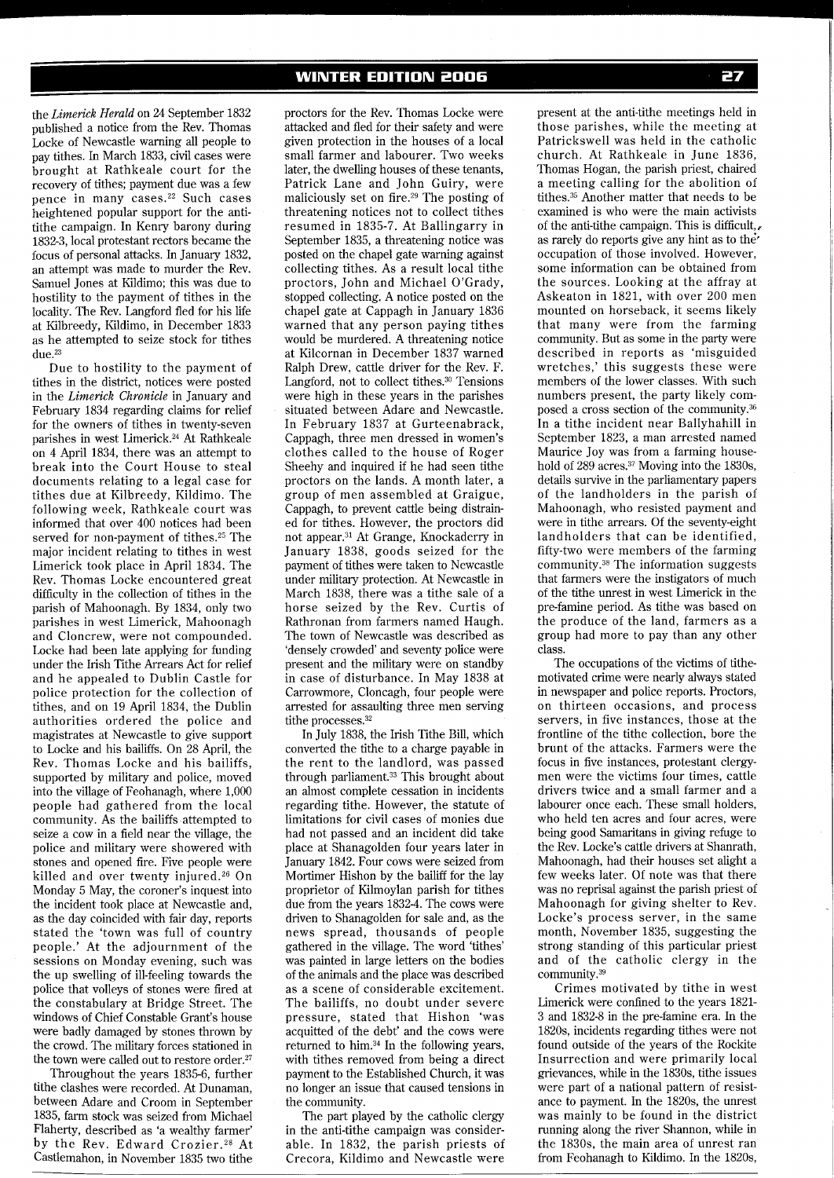the *Limerick Herald* on 24 September 1832 published a notice from the Rev. Thomas Locke of Newcastle warning all people to pay tithes. In March 1833, civil cases were brought at Rathkeale court for the recovery of tithes; payment due was a few pence in many cases.22 Such cases heightened popular support for the antitithe campaign. In Kenry barony during 1832-3, local protestant rectors became the focus of personal attacks. In January 1832, an attempt was made to murder the Rev. Samuel Jones at Kildimo; this was due to hostility to the payment of tithes in the locality. The Rev. Langford fled for his life at Kilbreedy, Kildimo, in December 1833 as he attempted to seize stock for tithes  $due.<sup>23</sup>$ 

Due to hostility to the payment of tithes in the district, notices were posted in the *Limerick Chronicle* in January and February 1834 regarding claims for relief for the owners of tithes in twenty-seven parishes in west Limerick.24 At Rathkeale on 4 April 1834, there was an attempt to break into the Court House to steal documents relating to a legal case for tithes due at Kilbreedy, Kildimo. The following week, Rathkeale court was informed that over 400 notices had been served for non-payment of tithes.<sup>25</sup> The major incident relating to tithes in west Limerick took place in April 1834. The Rev. Thomas Locke encountered great difficulty in the collection of tithes in the parish of Mahoonagh. By 1834, only two parishes in west Limerick, Mahoonagh and Cloncrew, were not compounded. Locke had been late applying for funding under the Irish Tithe Arrears Act for relief and he appealed to Dublin Castle for police protection for the collection of tithes, and on 19 April 1834, the Dublin authorities ordered the police and magistrates at Newcastle to give support to Locke and his bailiffs. On 28 April, the Rev. Thomas Locke and his bailiffs, supported by military and police, moved into the village of Feohanagh, where 1,000 people had gathered from the local community. As the bailiffs attempted to seize a cow in a field near the village, the police and military were showered with stones and opened fire. Five people were killed and over twenty injured.26 On Monday 5 May, the coroner's inquest into the incident took place at Newcastle and, as the day coincided with fair day, reports stated the 'town was full of country people.' At the adjournment of the sessions on Monday evening, such was the up swelling of ill-feeling towards the police that volleys of stones were fired at the constabulary at Bridge Street. The windows of Chief Constable Grant's house were badly damaged by stones thrown by the crowd. The military forces stationed in the town were called out to restore order.27

Throughout the years 1835-6, further tithe clashes were recorded. At Dunaman, between Adare and Croom in September 1835, farm stock was seized from Michael Flaherty, described as 'a wealthy farmer' by the Rev. Edward Crozier.<sup>28</sup> At Castlemahon, in November 1835 two tithe proctors for the Rev. Thomas Locke were attacked and fled for their safety and were given protection in the houses of a local small farmer and labourer. Two weeks later, the dwelling houses of these tenants, Patrick Lane and John Guiry, were maliciously set on fire.29 The posting of threatening notices not to collect tithes resumed in 1835-7. At Ballingarry in September 1835, a threatening notice was posted on the chapel gate warning against collecting tithes. As a result local tithe proctors, John and Michael O'Grady, stopped collecting. A notice posted on the chapel gate at Cappagh in January 1836 warned that any person paying tithes would be murdered. A threatening notice at Kilcornan in December 1837 warned Ralph Drew, cattle driver for the Rev. F. Langford, not to collect tithes.<sup>30</sup> Tensions were high in these years in the parishes situated between Adare and Newcastle. In February 1837 at Gurteenabrack, Cappagh, three men dressed in women's clothes called to the house of Roger Sheehy and inquired if he had seen tithe proctors on the lands. A month later, a group of men assembled at Graigue, Cappagh, to prevent cattle being distrained for tithes. However, the proctors did not appear.3' At Grange, Knockaderry in January 1838, goods seized for the payment of tithes were taken to Newcastle under military protection. At Newcastle in March 1838, there was a tithe sale of a horse seized by the Rev. Curtis of Rathronan from farmers named Haugh. The town of Newcastle was described as 'densely crowded' and seventy police were present and the military were on standby in case of disturbance. In May 1838 at Carrowmore, Cloncagh, four people were arrested for assaulting three men serving tithe processes.<sup>32</sup>

In July 1838, the Irish Tithe Bill, which converted the tithe to a charge payable in the rent to the landlord, was passed through parliament.33 This brought about an almost complete cessation in incidents regarding tithe. However, the statute of limitations for civil cases of monies due had not passed and an incident did take place at Shanagolden four years later in January 1842. Four cows were seized from Mortimer Hishon by the bailiff for the lay proprietor of Kilmoylan parish for tithes due from the years 1832-4. The cows were driven to Shanagolden for sale and, as the news spread, thousands of people gathered in the village. The word 'tithes' was painted in large letters on the bodies of the animals and the place was described as a scene of considerable excitement. The bailiffs, no doubt under severe pressure, stated that Hishon 'was acquitted of the debt' and the cows were returned to him.34 In the following years, with tithes removed from being a direct payment to the Established Church, it was no longer an issue that caused tensions in the community.

The part played by the catholic clergy in the anti-tithe campaign was considerable. In 1832, the parish priests of Crecora, Kildimo and Newcastle were present at the anti-tithe meetings held in those parishes, while the meeting at Patrickswell was held in the catholic church. At Rathkeale in June 1836, Thomas Hogan, the parish priest, chaired a meeting calling for the abolition of tithes.35 Another matter that needs to be examined is who were the main activists of the anti-tithe campaign. This is difficult,, as rarely do reports give any hint as to the" occupation of those involved. However, some information can be obtained from the sources. Looking at the affray at Askeaton in 1821, with over 200 men mounted on horseback, it seems likely that many were from the farming community. But as some in the party were described in reports as 'misguided wretches,' this suggests these were members of the lower classes. With such numbers present, the party likely composed a cross section of the community.36 In a tithe incident near Ballyhahill in September 1823, a man arrested named Maurice Joy was from a farming household of 289 acres.<sup>37</sup> Moving into the 1830s, details survive in the parliamentary papers of the landholders in the parish of Mahoonagh, who resisted payment and were in tithe arrears. Of the seventy-eight landholders that can be identified, fifty-two were members of the farming community.38 The information suggests that farmers were the instigators of much of the tithe unrest in west Limerick in the pre-famine period. As tithe was based on the produce of the land, farmers as a group had more to pay than any other class.

The occupations of the victims of tithemotivated crime were nearly always stated in newspaper and police reports. Proctors, on thirteen occasions, and process servers, in five instances, those at the frontline of the tithe collection, bore the brunt of the attacks. Farmers were the focus in five instances, protestant clergymen were the victims four times, cattle drivers twice and a small farmer and a labourer once each. These small holders, who held ten acres and four acres, were being good Samaritans in giving refuge to the Rev. Locke's cattle drivers at Shanrath, Mahoonagh, had their houses set alight a few weeks later. Of note was that there was no reprisal against the parish priest of Mahoonagh for giving shelter to Rev. Locke's process server, in the same month, November 1835, suggesting the strong standing of this particular priest and of the catholic clergy in the community.<sup>39</sup>

Crimes motivated by tithe in west Limerick were confined to the years 1821- 3 and 1832-8 in the pre-famine era. In the 1820s, incidents regarding tithes were not found outside of the years of the Rockite Insurrection and were primarily local grievances, while in the 1830s, tithe issues were part of a national pattern of resistance to payment. In the 1820s, the unrest was mainly to be found in the district running along the river Shannon, while in the 1830s, the main area of unrest ran from Feohanagh to Kildimo. In the 1820s,